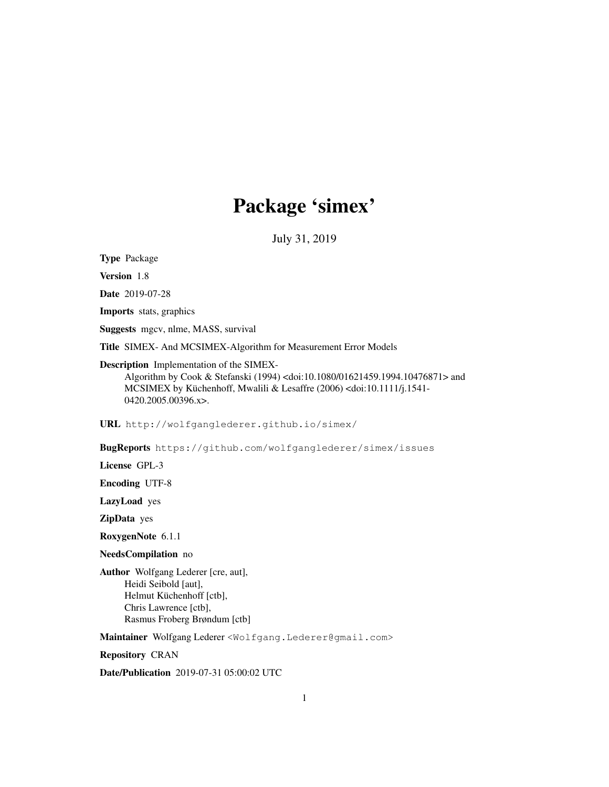# Package 'simex'

July 31, 2019

Type Package

Version 1.8

Date 2019-07-28

Imports stats, graphics

Suggests mgcv, nlme, MASS, survival

Title SIMEX- And MCSIMEX-Algorithm for Measurement Error Models

Description Implementation of the SIMEX-

Algorithm by Cook & Stefanski (1994) <doi:10.1080/01621459.1994.10476871> and MCSIMEX by Küchenhoff, Mwalili & Lesaffre (2006) <doi:10.1111/j.1541- 0420.2005.00396.x>.

URL http://wolfganglederer.github.io/simex/

BugReports https://github.com/wolfganglederer/simex/issues

License GPL-3

Encoding UTF-8

LazyLoad yes

ZipData yes

RoxygenNote 6.1.1

NeedsCompilation no

Author Wolfgang Lederer [cre, aut], Heidi Seibold [aut], Helmut Küchenhoff [ctb], Chris Lawrence [ctb], Rasmus Froberg Brøndum [ctb]

Maintainer Wolfgang Lederer <Wolfgang.Lederer@gmail.com>

Repository CRAN

Date/Publication 2019-07-31 05:00:02 UTC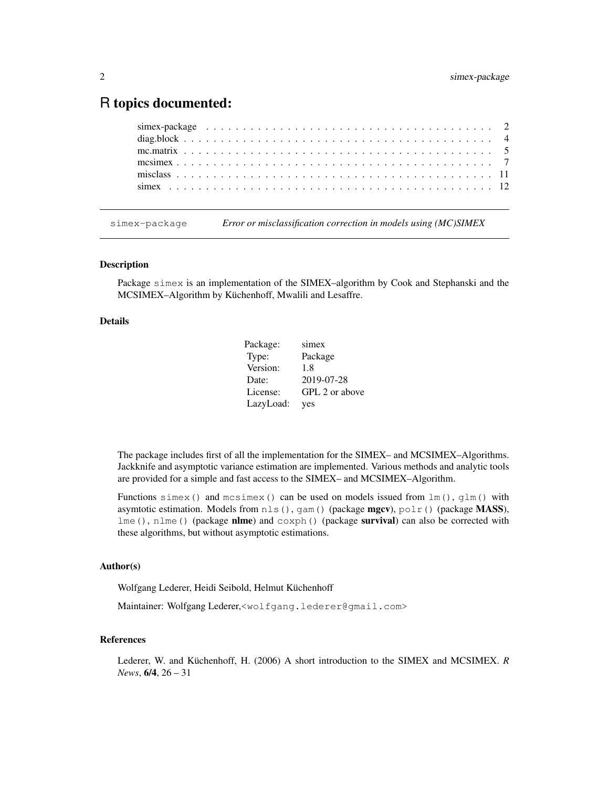## R topics documented:

simex-package *Error or misclassification correction in models using (MC)SIMEX*

#### **Description**

Package simex is an implementation of the SIMEX–algorithm by Cook and Stephanski and the MCSIMEX–Algorithm by Küchenhoff, Mwalili and Lesaffre.

## Details

| Package:  | simex          |
|-----------|----------------|
| Type:     | Package        |
| Version:  | 1.8            |
| Date:     | 2019-07-28     |
| License:  | GPL 2 or above |
| LazyLoad: | yes            |

The package includes first of all the implementation for the SIMEX– and MCSIMEX–Algorithms. Jackknife and asymptotic variance estimation are implemented. Various methods and analytic tools are provided for a simple and fast access to the SIMEX– and MCSIMEX–Algorithm.

Functions simex() and mcsimex() can be used on models issued from  $lm(1, qlm($ ) with asymtotic estimation. Models from  $nls()$ , gam() (package mgcv), polr() (package MASS), lme(), nlme() (package nlme) and  $\cos ph$  () (package survival) can also be corrected with these algorithms, but without asymptotic estimations.

#### Author(s)

Wolfgang Lederer, Heidi Seibold, Helmut Küchenhoff

Maintainer: Wolfgang Lederer,<wolfgang.lederer@gmail.com>

#### References

Lederer, W. and Küchenhoff, H. (2006) A short introduction to the SIMEX and MCSIMEX. *R News*, 6/4, 26 – 31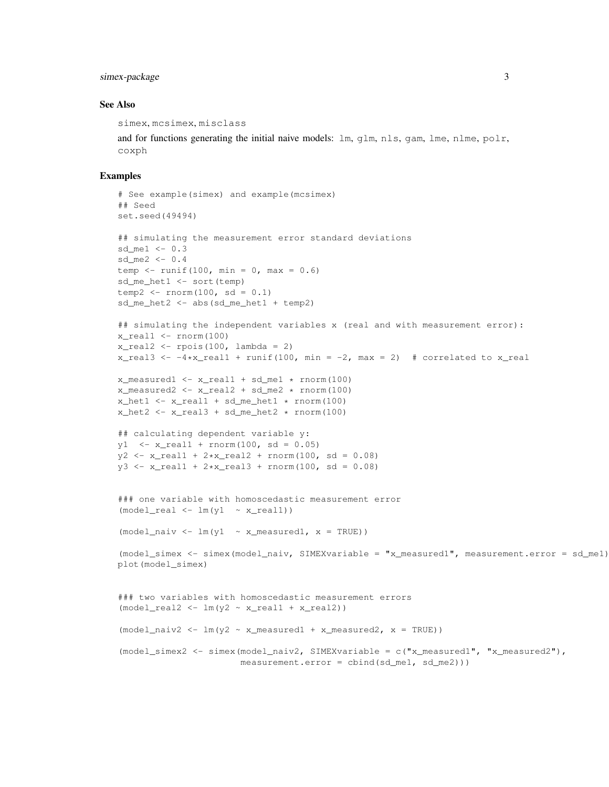## simex-package 3

#### See Also

simex, mcsimex, misclass

and for functions generating the initial naive models:  $\text{lm}, \text{qlm}, \text{nls}, \text{qam}, \text{lme}, \text{nlme}, \text{polr},$ coxph

```
# See example(simex) and example(mcsimex)
## Seed
set.seed(49494)
## simulating the measurement error standard deviations
sd_me1 <-0.3sd_me2 <- 0.4
temp \le runif(100, min = 0, max = 0.6)
sd_me_het1 <- sort(temp)
temp2 <- rnorm(100, sd = 0.1)
sd_me_het2 <- abs(sd_me_het1 + temp2)
## simulating the independent variables x (real and with measurement error):
x_real1 <- rnorm(100)
x_{\text{real2}} \leftarrow \text{ppois}(100, \text{lambda} = 2)x_{\text{real}} <- -4*x_real1 + runif(100, min = -2, max = 2) # correlated to x_real
x_measured1 <- x_real1 + sd_me1 * rnorm(100)
x_meanured2 < - x_{real2} + sd_{med} \times rnorm(100)x het1 \leftarrow x real1 + sd me het1 \star rnorm(100)
x het2 <- x real3 + sd me het2 * rnorm(100)
## calculating dependent variable y:
y1 \leftarrow x\_real1 + rnorm(100, sd = 0.05)y2 \le -x_{\text{real1}} + 2*x_{\text{real2}} + \text{norm}(100, \text{sd} = 0.08)y3 \le -x_{real1} + 2*x_{real3} + rnorm(100, sd = 0.08)### one variable with homoscedastic measurement error
(model\_real \leftarrow lm(y1 \sim x\_real1))(mod \ell\_naiv \leftarrow lm(y1 \sim x\_measured1, x = TRUE))(model_simex <- simex(model_naiv, SIMEXvariable = "x_measured1", measurement.error = sd_me1))
plot(model_simex)
### two variables with homoscedastic measurement errors
(mod \lceil \cdot \rceil <- lm(y2 \sim x_{\text{real1}} + x_{\text{real2}})(mod \  \  \, 1 \text{m} \rightarrow 2 \text{ m} \rightarrow 1 \text{m} \rightarrow \text{m} \rightarrow \text{m} \rightarrow \text{m} \rightarrow \text{m} \rightarrow \text{m} \rightarrow \text{m} \rightarrow \text{m} \rightarrow \text{m} \rightarrow \text{m} \rightarrow \text{m} \rightarrow \text{m} \rightarrow \text{m} \rightarrow \text{m} \rightarrow \text{m} \rightarrow \text{m} \rightarrow \text{m} \rightarrow \text{m} \rightarrow \text{m} \rightarrow \text{m} \rightarrow \text{m} \rightarrow \text{m} \rightarrow \text{m} \rightarrow \text{m} \rightarrow \text{m} \rightarrow \text{m} \rightarrow \text{m} \rightarrow \text{m(model_simex2 <- simex(model_naiv2, SIMEXvariable = c("x_measured1", "x_measured2"),
                                   measurement.error = cbind(sd_me1, sd_me2)))
```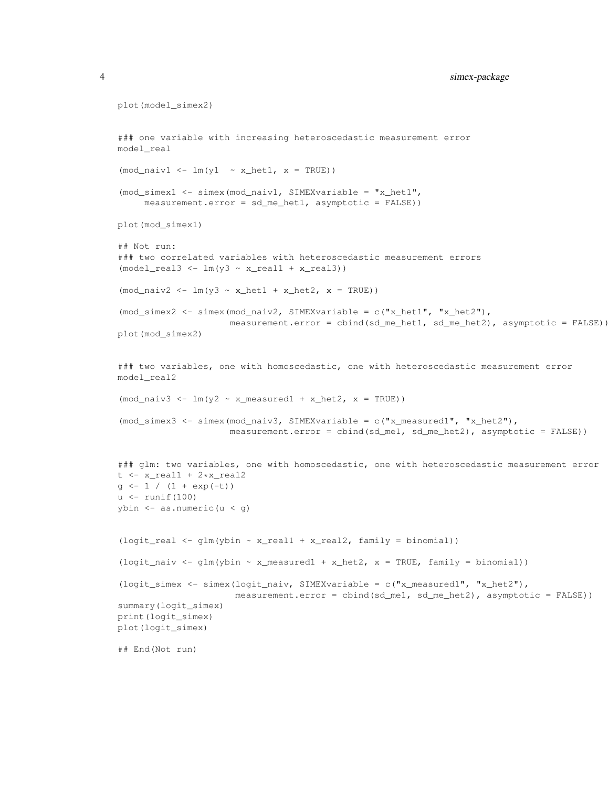```
plot(model_simex2)
### one variable with increasing heteroscedastic measurement error
model_real
(mod\_naiv1 \leftarrow lm(y1 \sim x\_het1, x = TRUE))(mod_simex1 <- simex(mod_naiv1, SIMEXvariable = "x_het1",
     measurement.error = sd_me_het1, asymptotic = FALSE))
plot(mod_simex1)
## Not run:
### two correlated variables with heteroscedastic measurement errors
(model\_real3 \leftarrow lm(y3 \sim x\_real1 + x\_real3))(mod\_naiv2 \leftarrow lm(y3 \sim x\_het1 + x\_het2, x = TRUE))(mod_simex2 <- simex(mod_naiv2, SIMEXvariable = c("x_het1", "x_het2"),
                      measurement.error = cbind(sd_me_het1, sd_me_het2), asymptotic = FALSE))
plot(mod_simex2)
### two variables, one with homoscedastic, one with heteroscedastic measurement error
model_real2
(mod\_naiv3 \leftarrow lm(y2 \sim x\_measured1 + x\_het2, x = TRUE))(mod_simex3 <- simex(mod_naiv3, SIMEXvariable = c("x_measured1", "x_het2"),
                      measurement.error = cbind(sd_me1, sd_me_het2), asymptotic = FALSE))
### glm: two variables, one with homoscedastic, one with heteroscedastic measurement error
t <- x_real1 + 2*x_real2
g \leftarrow 1 / (1 + \exp(-t))u <- runif(100)
ybin <- as.numeric(u < g)
(logit_real <- glm(ybin \sim x_real1 + x_real2, family = binomial))
(logit_naiv <- glm(ybin ~ x_measured1 + x_het2, x = TRUE, family = binomial))
(logit_simex <- simex(logit_naiv, SIMEXvariable = c("x_measured1", "x_het2"),
                       measurement.error = cbind(sd_me1, sd_me_het2), asymptotic = FALSE))
summary(logit_simex)
print(logit_simex)
plot(logit_simex)
## End(Not run)
```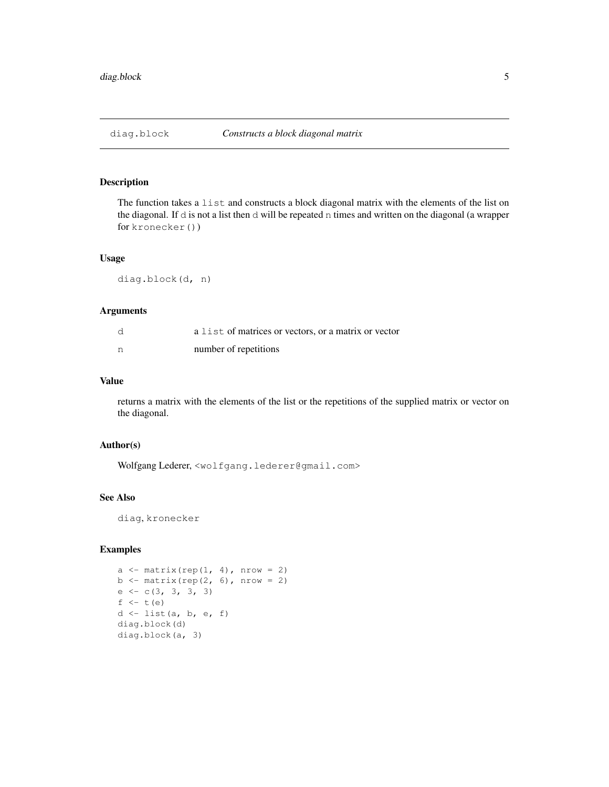The function takes a list and constructs a block diagonal matrix with the elements of the list on the diagonal. If d is not a list then d will be repeated n times and written on the diagonal (a wrapper for kronecker())

## Usage

diag.block(d, n)

## Arguments

| d | a list of matrices or vectors, or a matrix or vector |
|---|------------------------------------------------------|
| n | number of repetitions                                |

#### Value

returns a matrix with the elements of the list or the repetitions of the supplied matrix or vector on the diagonal.

#### Author(s)

Wolfgang Lederer, <wolfgang.lederer@gmail.com>

## See Also

diag, kronecker

```
a \leftarrow matrix(rep(1, 4), nrow = 2)
b \leftarrow matrix(rep(2, 6), nrow = 2)
e \leftarrow c(3, 3, 3, 3)f \leftarrow t(e)d <- list(a, b, e, f)
diag.block(d)
diag.block(a, 3)
```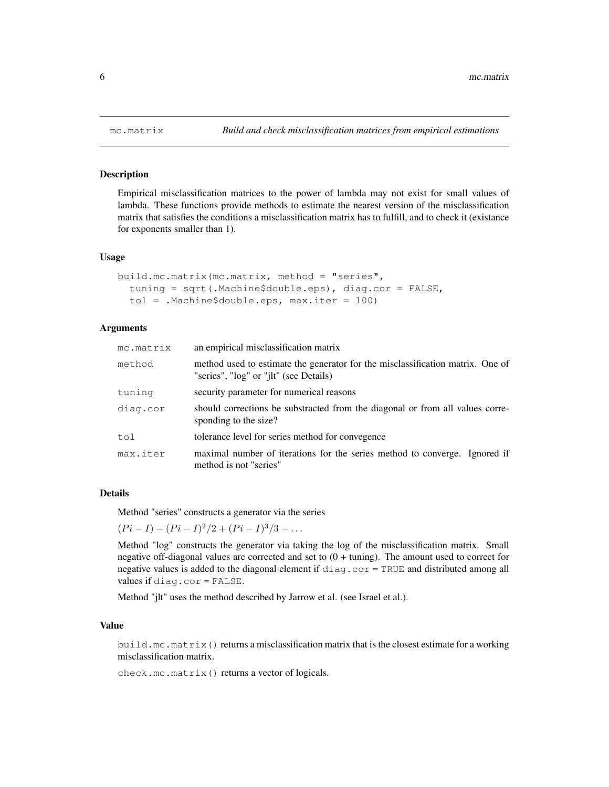Empirical misclassification matrices to the power of lambda may not exist for small values of lambda. These functions provide methods to estimate the nearest version of the misclassification matrix that satisfies the conditions a misclassification matrix has to fulfill, and to check it (existance for exponents smaller than 1).

#### Usage

```
build.mc.matrix(mc.matrix, method = "series",
  tuning = sqrt(.Machine$double.eps), diag.cor = FALSE,
  tol = .Machine$double.eps, max.iter = 100)
```
## Arguments

| mc.matrix | an empirical misclassification matrix                                                                                    |
|-----------|--------------------------------------------------------------------------------------------------------------------------|
| method    | method used to estimate the generator for the misclassification matrix. One of<br>"series", "log" or "jlt" (see Details) |
| tuning    | security parameter for numerical reasons                                                                                 |
| diag.cor  | should corrections be substracted from the diagonal or from all values corre-<br>sponding to the size?                   |
| tol       | tolerance level for series method for convegence                                                                         |
| max.iter  | maximal number of iterations for the series method to converge. Ignored if<br>method is not "series"                     |

#### Details

Method "series" constructs a generator via the series

 $(Pi - I) - (Pi - I)^2/2 + (Pi - I)^3/3 - \dots$ 

Method "log" constructs the generator via taking the log of the misclassification matrix. Small negative off-diagonal values are corrected and set to (0 + tuning). The amount used to correct for negative values is added to the diagonal element if diag.cor = TRUE and distributed among all values if diag.cor = FALSE.

Method "jlt" uses the method described by Jarrow et al. (see Israel et al.).

#### Value

build.mc.matrix() returns a misclassification matrix that is the closest estimate for a working misclassification matrix.

check.mc.matrix() returns a vector of logicals.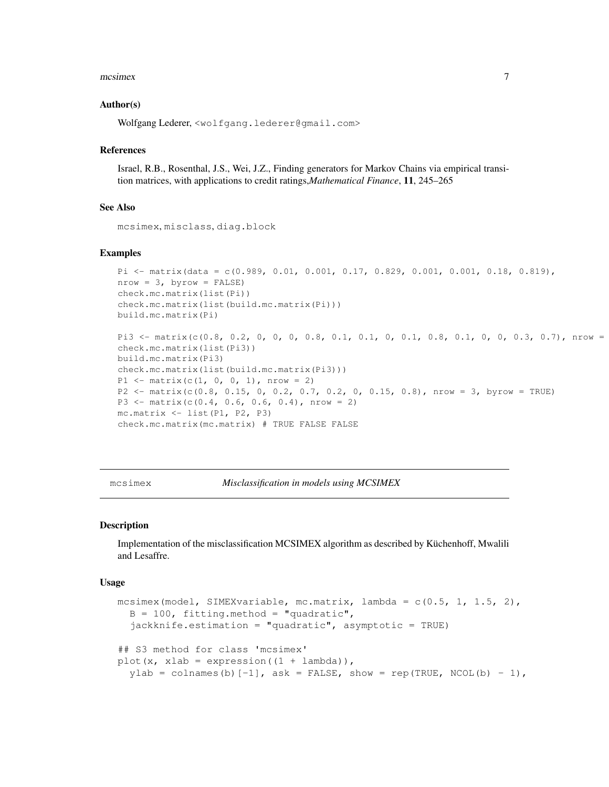#### $mcsimex$   $\frac{1}{2}$

#### Author(s)

Wolfgang Lederer, <wolfgang.lederer@gmail.com>

#### References

Israel, R.B., Rosenthal, J.S., Wei, J.Z., Finding generators for Markov Chains via empirical transition matrices, with applications to credit ratings,*Mathematical Finance*, 11, 245–265

#### See Also

mcsimex, misclass, diag.block

## Examples

```
Pi <- matrix(data = c(0.989, 0.01, 0.001, 0.17, 0.829, 0.001, 0.001, 0.18, 0.819),
nrow = 3, byrow = FALSE)
check.mc.matrix(list(Pi))
check.mc.matrix(list(build.mc.matrix(Pi)))
build.mc.matrix(Pi)
Pi3 <- matrix(c(0.8, 0.2, 0, 0, 0, 0.8, 0.1, 0.1, 0, 0.1, 0.8, 0.1, 0, 0, 0.3, 0.7), nrow =
check.mc.matrix(list(Pi3))
build.mc.matrix(Pi3)
check.mc.matrix(list(build.mc.matrix(Pi3)))
P1 \leftarrow matrix(c(1, 0, 0, 1), nrow = 2)
P2 <- matrix(c(0.8, 0.15, 0, 0.2, 0.7, 0.2, 0, 0.15, 0.8), nrow = 3, byrow = TRUE)
P3 \leftarrow matrix(c(0.4, 0.6, 0.6, 0.4), nrow = 2)
```

```
mc.matrix <- list(P1, P2, P3)
```
check.mc.matrix(mc.matrix) # TRUE FALSE FALSE

mcsimex *Misclassification in models using MCSIMEX*

#### Description

Implementation of the misclassification MCSIMEX algorithm as described by Küchenhoff, Mwalili and Lesaffre.

#### Usage

```
mcsimex(model, SIMEXvariable, mc.matrix, lambda = c(0.5, 1, 1.5, 2),
  B = 100, fitting.method = "quadratic",
  jackknife.estimation = "quadratic", asymptotic = TRUE)
## S3 method for class 'mcsimex'
plot(x, xlab = expression((1 + lambda)),
  ylab = colnames(b) [-1], ask = FALSE, show = rep(TRUE, NCOL(b) - 1),
```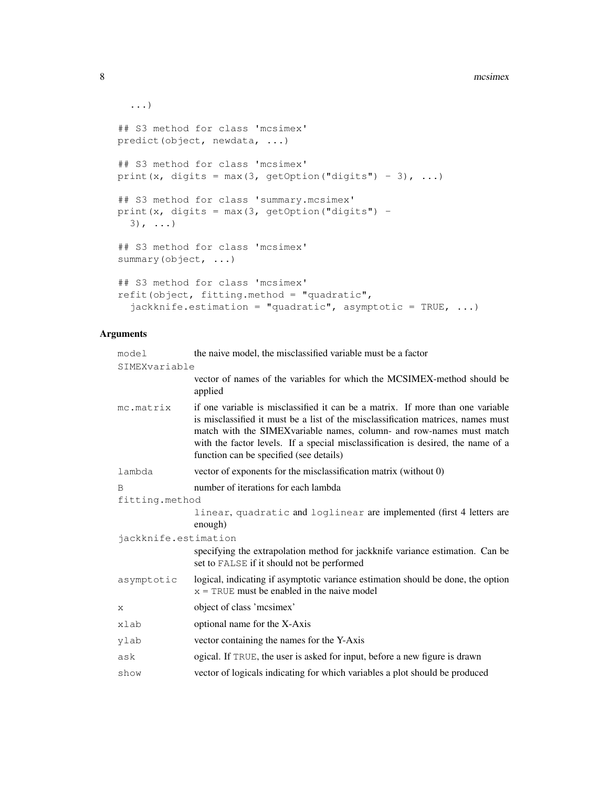```
...)
## S3 method for class 'mcsimex'
predict(object, newdata, ...)
## S3 method for class 'mcsimex'
print(x, digits = max(3, getOption("digits") - 3), \dots)
## S3 method for class 'summary.mcsimex'
print(x, digits = max(3, getOption("digits") -3), ...)
## S3 method for class 'mcsimex'
summary(object, ...)
## S3 method for class 'mcsimex'
refit(object, fitting.method = "quadratic",
  jackknife.estimation = "quadratic", asymptotic = TRUE, \dots)
```
## Arguments

| model                | the naive model, the misclassified variable must be a factor                                                                                                                                                                                                                                                                                                               |  |
|----------------------|----------------------------------------------------------------------------------------------------------------------------------------------------------------------------------------------------------------------------------------------------------------------------------------------------------------------------------------------------------------------------|--|
| SIMEXvariable        |                                                                                                                                                                                                                                                                                                                                                                            |  |
|                      | vector of names of the variables for which the MCSIMEX-method should be<br>applied                                                                                                                                                                                                                                                                                         |  |
| mc.matrix            | if one variable is misclassified it can be a matrix. If more than one variable<br>is misclassified it must be a list of the misclassification matrices, names must<br>match with the SIMEX variable names, column- and row-names must match<br>with the factor levels. If a special misclassification is desired, the name of a<br>function can be specified (see details) |  |
| lambda               | vector of exponents for the misclassification matrix (without 0)                                                                                                                                                                                                                                                                                                           |  |
| B                    | number of iterations for each lambda                                                                                                                                                                                                                                                                                                                                       |  |
| fitting.method       |                                                                                                                                                                                                                                                                                                                                                                            |  |
|                      | linear, quadratic and loglinear are implemented (first 4 letters are<br>enough)                                                                                                                                                                                                                                                                                            |  |
| jackknife.estimation |                                                                                                                                                                                                                                                                                                                                                                            |  |
|                      | specifying the extrapolation method for jackknife variance estimation. Can be<br>set to FALSE if it should not be performed                                                                                                                                                                                                                                                |  |
| asymptotic           | logical, indicating if asymptotic variance estimation should be done, the option<br>$x = TRUE$ must be enabled in the naive model                                                                                                                                                                                                                                          |  |
| X                    | object of class 'mcsimex'                                                                                                                                                                                                                                                                                                                                                  |  |
| xlab                 | optional name for the X-Axis                                                                                                                                                                                                                                                                                                                                               |  |
| ylab                 | vector containing the names for the Y-Axis                                                                                                                                                                                                                                                                                                                                 |  |
| ask                  | ogical. If TRUE, the user is asked for input, before a new figure is drawn                                                                                                                                                                                                                                                                                                 |  |
| show                 | vector of logicals indicating for which variables a plot should be produced                                                                                                                                                                                                                                                                                                |  |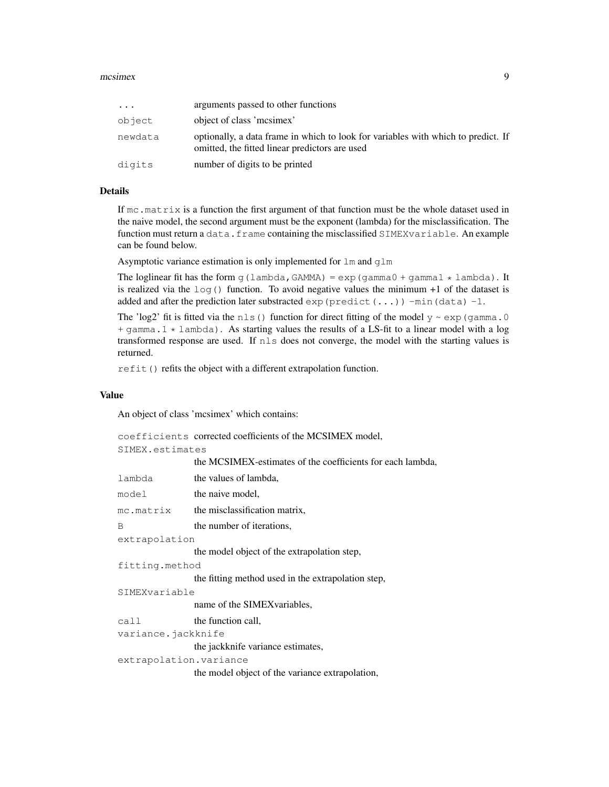#### $mcsimex$  9

| $\cdots$ | arguments passed to other functions                                                                                                 |
|----------|-------------------------------------------------------------------------------------------------------------------------------------|
| object   | object of class 'mcsimex'                                                                                                           |
| newdata  | optionally, a data frame in which to look for variables with which to predict. If<br>omitted, the fitted linear predictors are used |
| digits   | number of digits to be printed                                                                                                      |

## Details

If mc.matrix is a function the first argument of that function must be the whole dataset used in the naive model, the second argument must be the exponent (lambda) for the misclassification. The function must return a data.frame containing the misclassified SIMEXvariable. An example can be found below.

Asymptotic variance estimation is only implemented for  $lm$  and  $glm$ 

The loglinear fit has the form g(lambda, GAMMA) =  $\exp$ (gamma0 + gamma1  $\star$  lambda). It is realized via the  $log($ ) function. To avoid negative values the minimum +1 of the dataset is added and after the prediction later substracted  $\exp$  (predict(...)) -min(data) -1.

The 'log2' fit is fitted via the nls() function for direct fitting of the model  $y \sim \exp(q \text{ amma.0})$ + gamma.1 \* lambda). As starting values the results of a LS-fit to a linear model with a log transformed response are used. If nls does not converge, the model with the starting values is returned.

refit() refits the object with a different extrapolation function.

#### Value

An object of class 'mcsimex' which contains:

|                        | coefficients corrected coefficients of the MCSIMEX model,  |  |
|------------------------|------------------------------------------------------------|--|
| SIMEX.estimates        |                                                            |  |
|                        | the MCSIMEX-estimates of the coefficients for each lambda, |  |
| lambda                 | the values of lambda,                                      |  |
| model                  | the naive model,                                           |  |
| mc.matrix              | the misclassification matrix,                              |  |
| B                      | the number of iterations,                                  |  |
| extrapolation          |                                                            |  |
|                        | the model object of the extrapolation step,                |  |
|                        | fitting.method                                             |  |
|                        | the fitting method used in the extrapolation step,         |  |
| SIMEXvariable          |                                                            |  |
|                        | name of the SIMEX variables,                               |  |
| call                   | the function call,                                         |  |
| variance.jackknife     |                                                            |  |
|                        | the jackknife variance estimates,                          |  |
| extrapolation.variance |                                                            |  |
|                        | the model object of the variance extrapolation,            |  |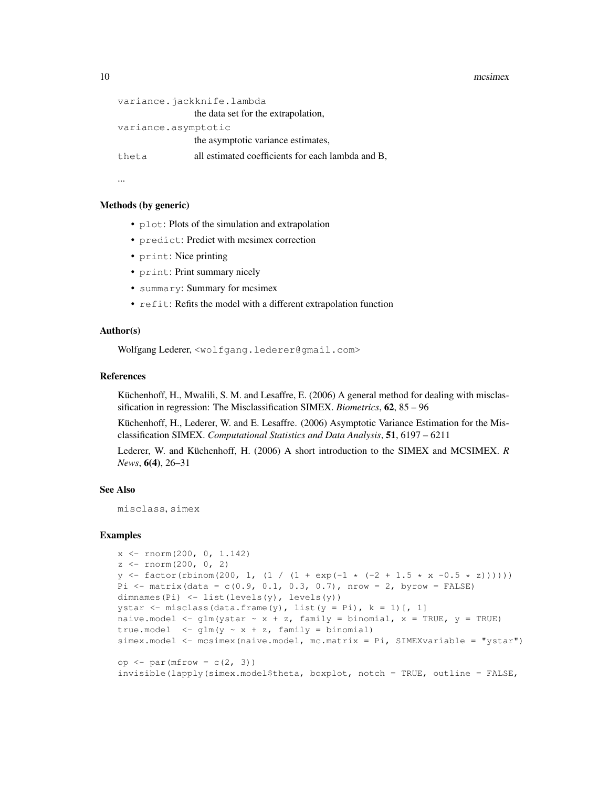#### 10 mcsimex

```
variance.jackknife.lambda
                the data set for the extrapolation,
variance.asymptotic
                the asymptotic variance estimates,
theta all estimated coefficients for each lambda and B,
```
...

#### Methods (by generic)

- plot: Plots of the simulation and extrapolation
- predict: Predict with mcsimex correction
- print: Nice printing
- print: Print summary nicely
- summary: Summary for mcsimex
- refit: Refits the model with a different extrapolation function

#### Author(s)

```
Wolfgang Lederer, <wolfgang.lederer@gmail.com>
```
## References

Küchenhoff, H., Mwalili, S. M. and Lesaffre, E. (2006) A general method for dealing with misclassification in regression: The Misclassification SIMEX. *Biometrics*, 62, 85 – 96

Küchenhoff, H., Lederer, W. and E. Lesaffre. (2006) Asymptotic Variance Estimation for the Misclassification SIMEX. *Computational Statistics and Data Analysis*, 51, 6197 – 6211

Lederer, W. and Küchenhoff, H. (2006) A short introduction to the SIMEX and MCSIMEX. *R News*, 6(4), 26–31

## See Also

misclass, simex

```
x \leftarrow \text{rnorm}(200, 0, 1.142)z \leftarrow \text{rnorm}(200, 0, 2)y \leftarrow factor(rbinom(200, 1, (1 / (1 + exp(-1 * (-2 + 1.5 * x - 0.5 * z))))))Pi \le matrix(data = c(0.9, 0.1, 0.3, 0.7), nrow = 2, byrow = FALSE)
dimnames(Pi) \leftarrow list(levels(y), levels(y))
ystar \leq misclass (data.frame(y), list(y = Pi), k = 1)[, 1]
naive.model <- glm(ystar \sim x + z, family = binomial, x = TRUE, y = TRUE)
true.model \langle -\text{glm}(y \sim x + z, \text{family} = \text{binomial})simex.model <- mcsimex(naive.model, mc.matrix = Pi, SIMEXvariable = "ystar")
op \leq par(mfrow = c(2, 3))
invisible(lapply(simex.model$theta, boxplot, notch = TRUE, outline = FALSE,
```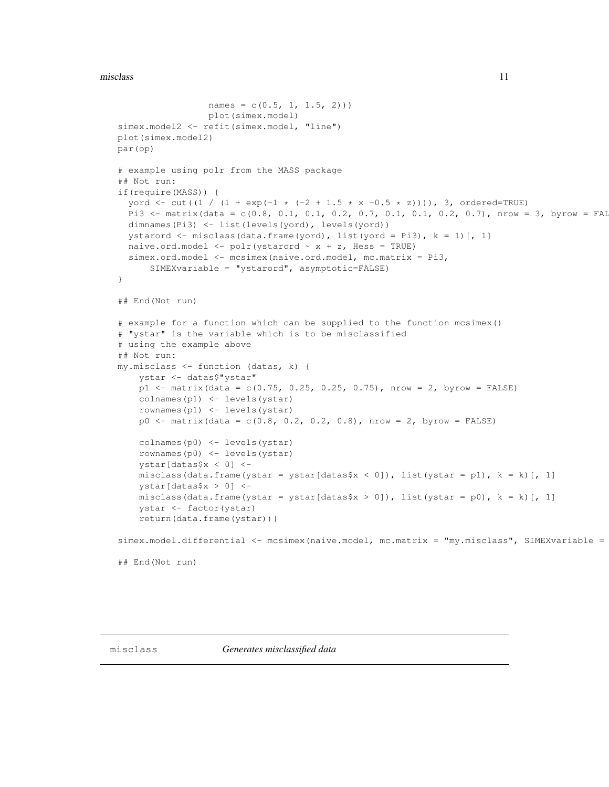#### misclass and the contract of the contract of the contract of the contract of the contract of the contract of the contract of the contract of the contract of the contract of the contract of the contract of the contract of t

```
names = c(0.5, 1, 1.5, 2))plot(simex.model)
simex.model2 <- refit(simex.model, "line")
plot(simex.model2)
par(op)
# example using polr from the MASS package
## Not run:
if(require(MASS)) {
  yord <- cut((1 / (1 + exp(-1 * (-2 + 1.5 * x -0.5 * z)))), 3, ordered=TRUE)
 Pi3 <- matrix(data = c(0.8, 0.1, 0.1, 0.2, 0.7, 0.1, 0.1, 0.2, 0.7), nrow = 3, byrow = FAI
 dimnames(Pi3) <- list(levels(yord), levels(yord))
  ystarord \leq misclass (data.frame(yord), list(yord = Pi3), k = 1)[, 1]
  naive.ord.model <- polr(ystarord \sim x + z, Hess = TRUE)
  simex.ord.model <- mcsimex(naive.ord.model, mc.matrix = Pi3,
      SIMEXvariable = "ystarord", asymptotic=FALSE)
}
## End(Not run)
# example for a function which can be supplied to the function mcsimex()
# "ystar" is the variable which is to be misclassified
# using the example above
## Not run:
my.misclass <- function (datas, k) {
    ystar <- datas$"ystar"
    p1 <- matrix(data = c(0.75, 0.25, 0.25, 0.75), nrow = 2, byrow = FALSE)
   colnames(p1) <- levels(ystar)
    rownames(p1) <- levels(ystar)
   p0 <- matrix(data = c(0.8, 0.2, 0.2, 0.8), nrow = 2, byrow = FALSE)
   colnames(p0) <- levels(ystar)
   rownames(p0) <- levels(ystar)
   ystar[datas$x < 0] <-
   misclass(data.frame(ystar = ystar[datas$x < 0]), list(ystar = p1), k = k)[, 1]
   ystar[datas$x > 0] <-
   misclass(data.frame(ystar = ystar[datas$x > 0]), list(ystar = p0), k = k][, 1]
    ystar <- factor(ystar)
    return(data.frame(ystar))}
simex.model.differential <- mcsimex(naive.model, mc.matrix = "my.misclass", SIMEXvariable =
## End(Not run)
```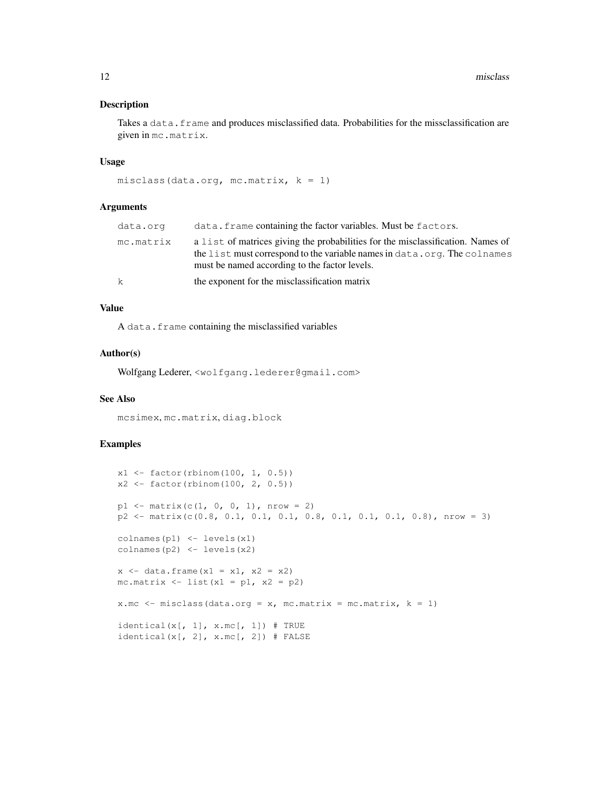Takes a data. frame and produces misclassified data. Probabilities for the missclassification are given in mc.matrix.

#### Usage

```
misclass(data.org, mc.matrix, k = 1)
```
## Arguments

| data.org     | data. frame containing the factor variables. Must be factors.                                                                                                                                                |
|--------------|--------------------------------------------------------------------------------------------------------------------------------------------------------------------------------------------------------------|
| mc.matrix    | a list of matrices giving the probabilities for the misclassification. Names of<br>the list must correspond to the variable names in data.org. The colnames<br>must be named according to the factor levels. |
| $\mathsf{k}$ | the exponent for the misclassification matrix                                                                                                                                                                |

## Value

A data.frame containing the misclassified variables

#### Author(s)

Wolfgang Lederer, <wolfgang.lederer@gmail.com>

## See Also

mcsimex, mc.matrix, diag.block

```
x1 \leftarrow factor(rbinom(100, 1, 0.5))
x2 \leftarrow factor(rbinom(100, 2, 0.5))
p1 \le - matrix(c(1, 0, 0, 1), nrow = 2)
p2 \le - matrix(c(0.8, 0.1, 0.1, 0.1, 0.8, 0.1, 0.1, 0.1, 0.8), nrow = 3)
colnames(p1) <- levels(x1)
colnames(p2) <- levels(x2)
x \leftarrow data . frame(x1 = x1, x2 = x2)mc.matrix \leftarrow list(x1 = p1, x2 = p2)x.mc \leftarrow misclass (data.org = x, mc.matrix = mc.matrix, k = 1)
\text{identical}(x[, 1], x.\text{mc}[, 1]) # TRUE
identical(x[, 2], x.mc[, 2]) # FALSE
```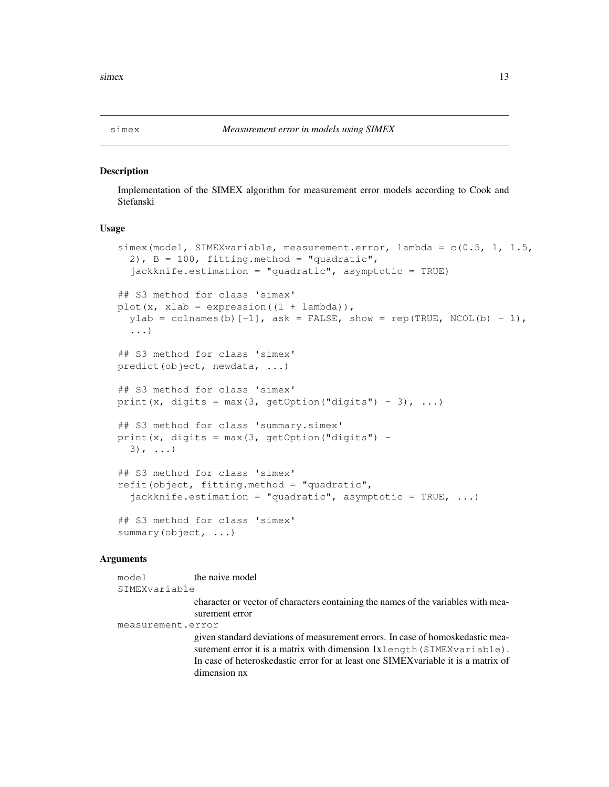Implementation of the SIMEX algorithm for measurement error models according to Cook and Stefanski

## Usage

```
simex(model, SIMEXvariable, measurement.error, lambda = c(0.5, 1, 1.5, 1)2), B = 100, fitting.method = "quadratic",
  jackknife.estimation = "quadratic", asymptotic = TRUE)
## S3 method for class 'simex'
plot(x, xlab = expression((1 + lambda)),
  ylab = colnames(b) [-1], ask = FALSE, show = rep(TRUE, NCOL(b) - 1),
  ...)
## S3 method for class 'simex'
predict(object, newdata, ...)
## S3 method for class 'simex'
print(x, digits = max(3, getOption("digits") - 3), \ldots)
## S3 method for class 'summary.simex'
print(x, digits = max(3, getOption("digits") -3), ...)
## S3 method for class 'simex'
refit(object, fitting.method = "quadratic",
  jackknife.estimation = "quadratic", asymptotic = TRUE, ...)
## S3 method for class 'simex'
summary(object, ...)
```
## Arguments

model the naive model SIMEXvariable character or vector of characters containing the names of the variables with measurement error measurement.error given standard deviations of measurement errors. In case of homoskedastic measurement error it is a matrix with dimension 1xlength (SIMEXvariable). In case of heteroskedastic error for at least one SIMEXvariable it is a matrix of dimension nx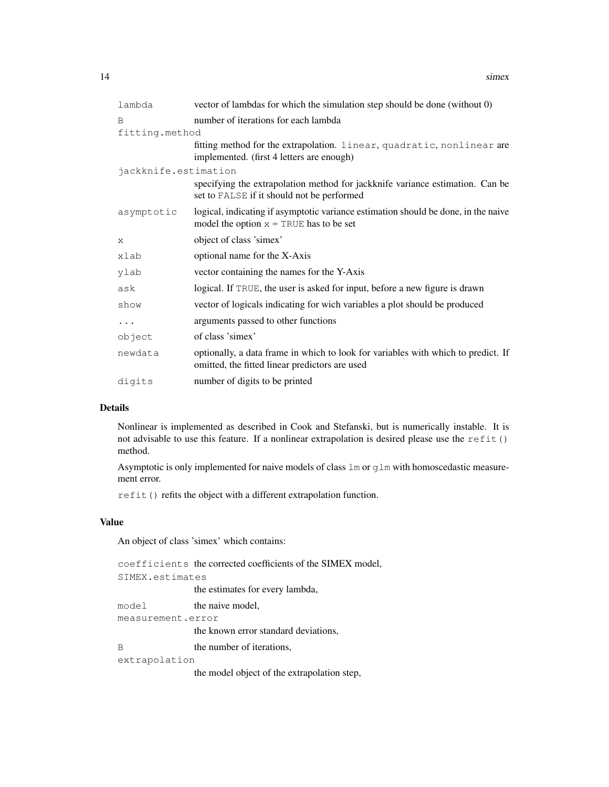| lambda               | vector of lambdas for which the simulation step should be done (without 0)                                                          |
|----------------------|-------------------------------------------------------------------------------------------------------------------------------------|
| B                    | number of iterations for each lambda                                                                                                |
| fitting.method       |                                                                                                                                     |
|                      | fitting method for the extrapolation. linear, quadratic, nonlinear are<br>implemented. (first 4 letters are enough)                 |
| jackknife.estimation |                                                                                                                                     |
|                      | specifying the extrapolation method for jackknife variance estimation. Can be<br>set to FALSE if it should not be performed         |
| asymptotic           | logical, indicating if asymptotic variance estimation should be done, in the naive<br>model the option $x = TRUE$ has to be set     |
| X                    | object of class 'simex'                                                                                                             |
| xlab                 | optional name for the X-Axis                                                                                                        |
| ylab                 | vector containing the names for the Y-Axis                                                                                          |
| ask                  | logical. If TRUE, the user is asked for input, before a new figure is drawn                                                         |
| show                 | vector of logicals indicating for wich variables a plot should be produced                                                          |
| $\cdots$             | arguments passed to other functions                                                                                                 |
| object               | of class 'simex'                                                                                                                    |
| newdata              | optionally, a data frame in which to look for variables with which to predict. If<br>omitted, the fitted linear predictors are used |
| digits               | number of digits to be printed                                                                                                      |

## Details

Nonlinear is implemented as described in Cook and Stefanski, but is numerically instable. It is not advisable to use this feature. If a nonlinear extrapolation is desired please use the refit() method.

Asymptotic is only implemented for naive models of class lm or glm with homoscedastic measurement error.

refit() refits the object with a different extrapolation function.

## Value

An object of class 'simex' which contains:

|                   | coefficients the corrected coefficients of the SIMEX model, |  |
|-------------------|-------------------------------------------------------------|--|
| SIMEX.estimates   |                                                             |  |
|                   | the estimates for every lambda,                             |  |
| model             | the naive model,                                            |  |
| measurement.error |                                                             |  |
|                   | the known error standard deviations,                        |  |
| B                 | the number of iterations,                                   |  |
| extrapolation     |                                                             |  |
|                   | the model object of the extrapolation step,                 |  |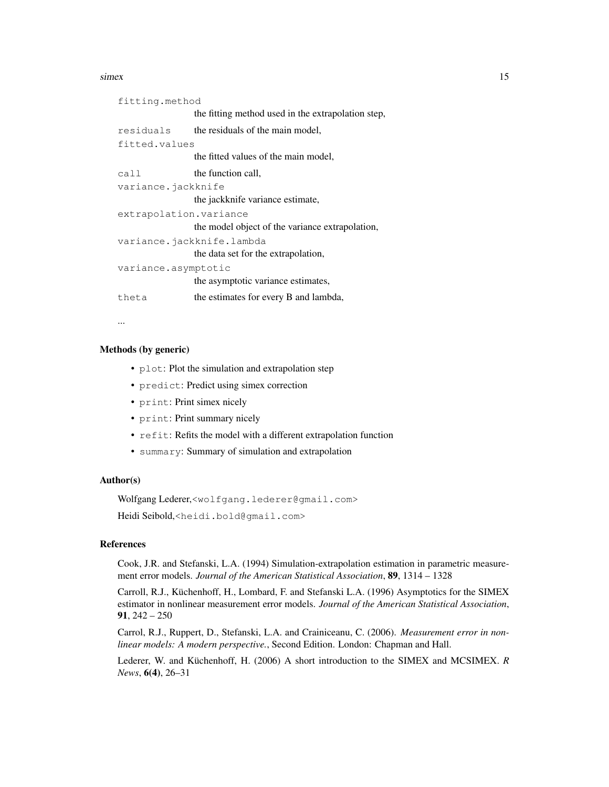#### simex 15

```
fitting.method
                the fitting method used in the extrapolation step,
residuals the residuals of the main model,
fitted.values
                the fitted values of the main model,
call the function call.
variance.jackknife
                the jackknife variance estimate,
extrapolation.variance
                the model object of the variance extrapolation,
variance.jackknife.lambda
                the data set for the extrapolation,
variance.asymptotic
                the asymptotic variance estimates,
theta the estimates for every B and lambda,
```
...

## Methods (by generic)

- plot: Plot the simulation and extrapolation step
- predict: Predict using simex correction
- print: Print simex nicely
- print: Print summary nicely
- refit: Refits the model with a different extrapolation function
- summary: Summary of simulation and extrapolation

## Author(s)

Wolfgang Lederer,<wolfgang.lederer@gmail.com>

Heidi Seibold,<heidi.bold@gmail.com>

## References

Cook, J.R. and Stefanski, L.A. (1994) Simulation-extrapolation estimation in parametric measurement error models. *Journal of the American Statistical Association*, 89, 1314 – 1328

Carroll, R.J., Küchenhoff, H., Lombard, F. and Stefanski L.A. (1996) Asymptotics for the SIMEX estimator in nonlinear measurement error models. *Journal of the American Statistical Association*, 91, 242 – 250

Carrol, R.J., Ruppert, D., Stefanski, L.A. and Crainiceanu, C. (2006). *Measurement error in nonlinear models: A modern perspective.*, Second Edition. London: Chapman and Hall.

Lederer, W. and Küchenhoff, H. (2006) A short introduction to the SIMEX and MCSIMEX. *R News*, 6(4), 26–31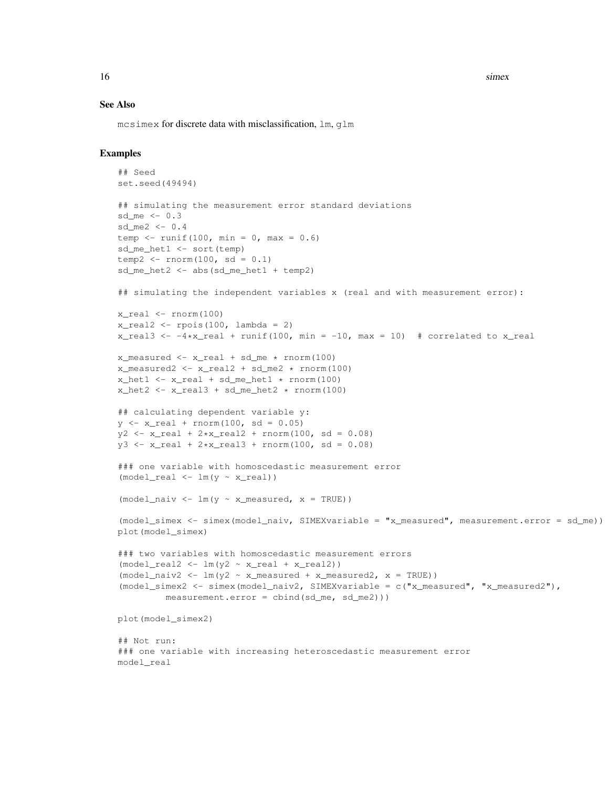16 simex simex simex simex simex simex simex simex simex simex simex simex simex simex simex simex simex simex simex simex simex simex simex simex simex simex simex simex simex simex simex simex simex simex simex simex sim

#### See Also

mcsimex for discrete data with misclassification, lm, glm

```
## Seed
set.seed(49494)
## simulating the measurement error standard deviations
sd me <-0.3sd_me2 <- 0.4
temp \leftarrow runif(100, min = 0, max = 0.6)
sd_me_het1 <- sort(temp)
temp2 \le -rnorm(100, sd = 0.1)sd_me_het2 <- abs(sd_me_het1 + temp2)
## simulating the independent variables x (real and with measurement error):
x_{real} \leftarrow \text{norm}(100)x_{\text{real2}} \leftarrow \text{rpois}(100, \text{lambda} = 2)x<sub>real</sub>3 <- -4*x<sub>real</sub> + runif(100, min = -10, max = 10) # correlated to x<sub>real</sub>
x_measured \leftarrow x_real + sd_me \star rnorm(100)
x_measured2 <- x_real2 + sd_me2 * rnorm(100)
x_{\text{net1}} \leftarrow x_{\text{real}} + sd_{\text{me}\text{het1}} \leftarrow r_{\text{norm}(100)}x_{het2} < -x_{rel3} + sd_{me\_het2} * rnorm(100)## calculating dependent variable y:
y \leftarrow x_{real} + rnorm(100, sd = 0.05)y2 \leftarrow x_{real} + 2*x_{real} + rnorm(100, sd = 0.08)y3 \leftarrow x_{real} + 2*x_{real}3 + rnorm(100, sd = 0.08)### one variable with homoscedastic measurement error
(mod \lceil \cdot \rceil \rceil \cdot \lceil \cdot \rceil \rceil \cdot \lceil \cdot \rceil \rceil \cdot \lceil \cdot \rceil \rceil(model naiv \leq lm(y \sim x measured, x = TRUE))
(model_simex <- simex(model_naiv, SIMEXvariable = "x_measured", measurement.error = sd_me))
plot(model_simex)
### two variables with homoscedastic measurement errors
(mod \lceil_{\text{real2}} \lceil_{\text{mod}} \rceil \lceil_{\text{real2}} \rceil \lceil_{\text{real2}} \rceil \lceil_{\text{real2}} \rceil \lceil_{\text{real2}} \rceil(mod \ell\_naiv2 \leftarrow lm(y2 \sim x\_measured + x\_measured2, x = TRUE))(model_simex2 <- simex(model_naiv2, SIMEXvariable = c("x_measured", "x_measured2"),
           measurement.error = cbind(sd_me, sd_me2)))
plot(model_simex2)
## Not run:
### one variable with increasing heteroscedastic measurement error
model_real
```